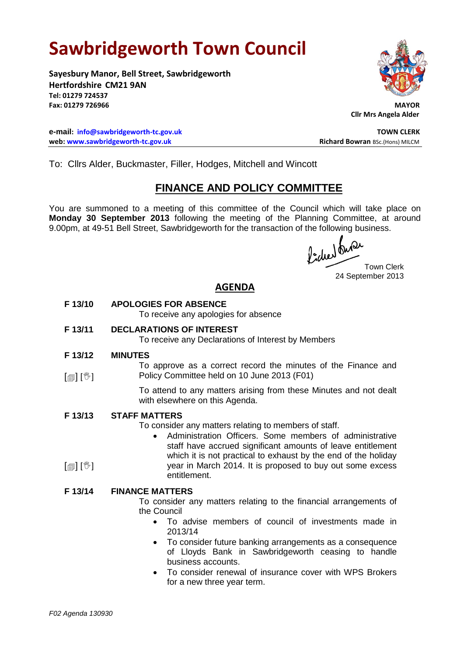# **Sawbridgeworth Town Council**

**Sayesbury Manor, Bell Street, Sawbridgeworth Hertfordshire CM21 9AN Tel: 01279 724537** Fax: 01279 726966

**e-mail: [info@sawbridgeworth-tc.gov.uk](mailto:info@sawbridgeworth-tc.gov.uk) TOWN CLERK web: www.sawbridgeworth-tc.gov.uk Richard Bowran BSc.(Hons) MILCM Richard Bowran BSc.(Hons) MILCM** 



**Cllr Mrs Angela Alder**

To: Cllrs Alder, Buckmaster, Filler, Hodges, Mitchell and Wincott

# **FINANCE AND POLICY COMMITTEE**

You are summoned to a meeting of this committee of the Council which will take place on **Monday 30 September 2013** following the meeting of the Planning Committee, at around 9.00pm, at 49-51 Bell Street, Sawbridgeworth for the transaction of the following business.

fided fune

Town Clerk 24 September 2013

# **AGENDA**

**F 13/10 APOLOGIES FOR ABSENCE**

To receive any apologies for absence

**F 13/11 DECLARATIONS OF INTEREST**

To receive any Declarations of Interest by Members

- **F 13/12 MINUTES**
- $\lceil \blacksquare \rceil \rceil$   $\mathbb{W}$   $\lceil \blacksquare \rceil$ To approve as a correct record the minutes of the Finance and Policy Committee held on 10 June 2013 (F01)

To attend to any matters arising from these Minutes and not dealt with elsewhere on this Agenda.

#### **F 13/13 STAFF MATTERS**

To consider any matters relating to members of staff.

 Administration Officers. Some members of administrative staff have accrued significant amounts of leave entitlement which it is not practical to exhaust by the end of the holiday year in March 2014. It is proposed to buy out some excess entitlement.

### **F 13/14 FINANCE MATTERS**

To consider any matters relating to the financial arrangements of the Council

- To advise members of council of investments made in 2013/14
- To consider future banking arrangements as a consequence of Lloyds Bank in Sawbridgeworth ceasing to handle business accounts.
- To consider renewal of insurance cover with WPS Brokers for a new three year term.

 $\lceil$  [ $\mathbb{I}$ ]  $\lceil \mathbb{V} \rceil$